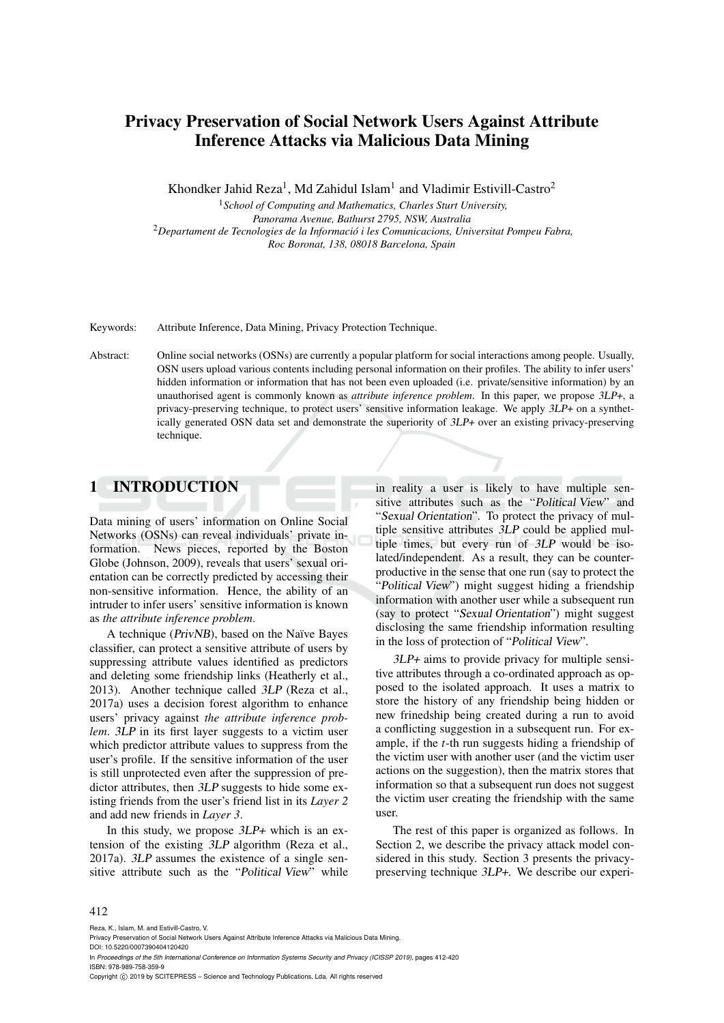# Privacy Preservation of Social Network Users Against Attribute Inference Attacks via Malicious Data Mining

Khondker Jahid Reza<sup>1</sup>, Md Zahidul Islam<sup>1</sup> and Vladimir Estivill-Castro<sup>2</sup>

<sup>1</sup>*School of Computing and Mathematics, Charles Sturt University, Panorama Avenue, Bathurst 2795, NSW, Australia* <sup>2</sup>*Departament de Tecnologies de la Informacio i les Comunicacions, Universitat Pompeu Fabra, ´ Roc Boronat, 138, 08018 Barcelona, Spain*

Keywords: Attribute Inference, Data Mining, Privacy Protection Technique.

Abstract: Online social networks (OSNs) are currently a popular platform for social interactions among people. Usually, OSN users upload various contents including personal information on their profiles. The ability to infer users' hidden information or information that has not been even uploaded (i.e. private/sensitive information) by an unauthorised agent is commonly known as *attribute inference problem*. In this paper, we propose 3LP+, a privacy-preserving technique, to protect users' sensitive information leakage. We apply 3LP+ on a synthetically generated OSN data set and demonstrate the superiority of 3LP+ over an existing privacy-preserving technique.

# 1 INTRODUCTION

Data mining of users' information on Online Social Networks (OSNs) can reveal individuals' private information. News pieces, reported by the Boston Globe (Johnson, 2009), reveals that users' sexual orientation can be correctly predicted by accessing their non-sensitive information. Hence, the ability of an intruder to infer users' sensitive information is known as *the attribute inference problem*.

A technique (PrivNB), based on the Naïve Bayes classifier, can protect a sensitive attribute of users by suppressing attribute values identified as predictors and deleting some friendship links (Heatherly et al., 2013). Another technique called 3LP (Reza et al., 2017a) uses a decision forest algorithm to enhance users' privacy against *the attribute inference problem*. 3LP in its first layer suggests to a victim user which predictor attribute values to suppress from the user's profile. If the sensitive information of the user is still unprotected even after the suppression of predictor attributes, then 3LP suggests to hide some existing friends from the user's friend list in its *Layer 2* and add new friends in *Layer 3*.

In this study, we propose  $3LP+$  which is an extension of the existing 3LP algorithm (Reza et al., 2017a). 3LP assumes the existence of a single sensitive attribute such as the "Political View" while

in reality a user is likely to have multiple sensitive attributes such as the "Political View" and "Sexual Orientation". To protect the privacy of multiple sensitive attributes 3LP could be applied multiple times, but every run of 3LP would be isolated/independent. As a result, they can be counterproductive in the sense that one run (say to protect the "Political View") might suggest hiding a friendship information with another user while a subsequent run (say to protect "Sexual Orientation") might suggest disclosing the same friendship information resulting in the loss of protection of "Political View".

3LP+ aims to provide privacy for multiple sensitive attributes through a co-ordinated approach as opposed to the isolated approach. It uses a matrix to store the history of any friendship being hidden or new frinedship being created during a run to avoid a conflicting suggestion in a subsequent run. For example, if the *t*-th run suggests hiding a friendship of the victim user with another user (and the victim user actions on the suggestion), then the matrix stores that information so that a subsequent run does not suggest the victim user creating the friendship with the same user.

The rest of this paper is organized as follows. In Section 2, we describe the privacy attack model considered in this study. Section 3 presents the privacypreserving technique 3LP+. We describe our experi-

#### 412

Reza, K., Islam, M. and Estivill-Castro, V.

DOI: 10.5220/0007390404120420 In *Proceedings of the 5th International Conference on Information Systems Security and Privacy (ICISSP 2019)*, pages 412-420 ISBN: 978-989-758-359-9

Copyright © 2019 by SCITEPRESS - Science and Technology Publications, Lda. All rights reserved

Privacy Preservation of Social Network Users Against Attribute Inference Attacks via Malicious Data Mining.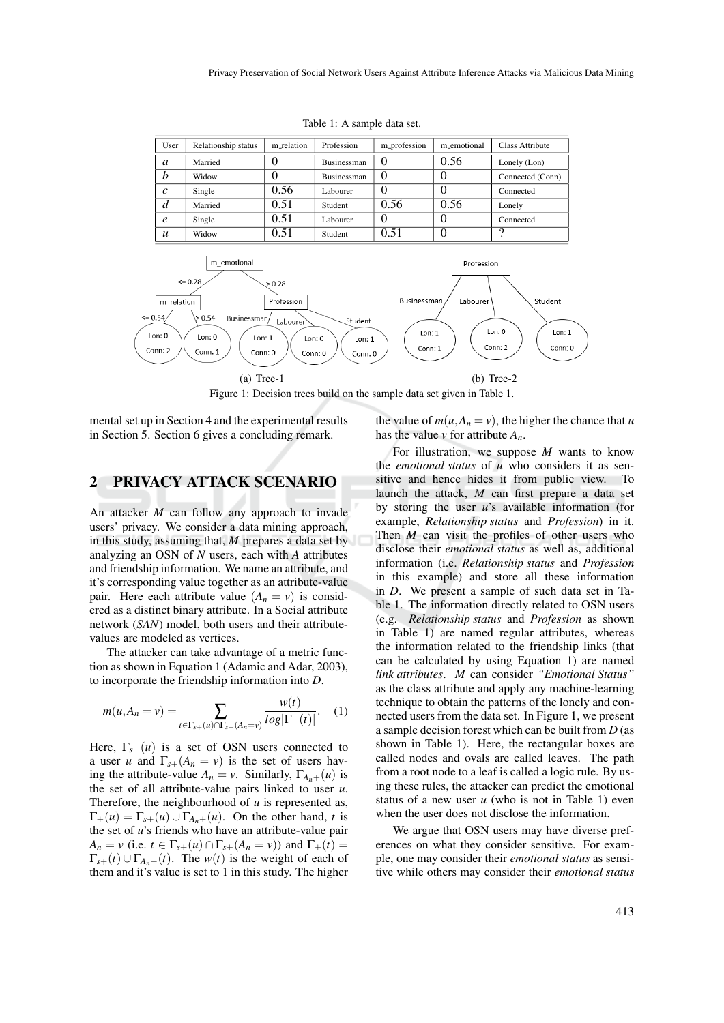| User             | Relationship status | m_relation | Profession  | m_profession | m_emotional | Class Attribute  |
|------------------|---------------------|------------|-------------|--------------|-------------|------------------|
| a                | Married             | O          | Businessman |              | 0.56        | Lonely (Lon)     |
| b                | Widow               | 0          | Businessman |              |             | Connected (Conn) |
| $\mathcal{C}$    | Single              | 0.56       | Labourer    |              |             | Connected        |
| d                | Married             | 0.51       | Student     | 0.56         | 0.56        | Lonely           |
| $\epsilon$       | Single              | 0.51       | Labourer    |              |             | Connected        |
| $\boldsymbol{u}$ | Widow               | 0.51       | Student     | 0.51         |             | ີ                |

Table 1: A sample data set.



Figure 1: Decision trees build on the sample data set given in Table 1.

mental set up in Section 4 and the experimental results in Section 5. Section 6 gives a concluding remark.

### 2 PRIVACY ATTACK SCENARIO

An attacker *M* can follow any approach to invade users' privacy. We consider a data mining approach, in this study, assuming that, *M* prepares a data set by analyzing an OSN of *N* users, each with *A* attributes and friendship information. We name an attribute, and it's corresponding value together as an attribute-value pair. Here each attribute value  $(A_n = v)$  is considered as a distinct binary attribute. In a Social attribute network (*SAN*) model, both users and their attributevalues are modeled as vertices.

The attacker can take advantage of a metric function as shown in Equation 1 (Adamic and Adar, 2003), to incorporate the friendship information into *D*.

$$
m(u, A_n = v) = \sum_{t \in \Gamma_{s+}(u) \cap \Gamma_{s+}(A_n = v)} \frac{w(t)}{\log|\Gamma_+(t)|}.
$$
 (1)

*w*(*t*)

Here,  $\Gamma_{s+}(u)$  is a set of OSN users connected to a user *u* and  $\Gamma_{s+}(A_n = v)$  is the set of users having the attribute-value  $A_n = v$ . Similarly,  $\Gamma_{A_n+}(u)$  is the set of all attribute-value pairs linked to user *u*. Therefore, the neighbourhood of *u* is represented as,  $\Gamma_+(u) = \Gamma_{s}(u) \cup \Gamma_{A_n}(u)$ . On the other hand, *t* is the set of *u*'s friends who have an attribute-value pair *A<sub>n</sub>* = *v* (i.e. *t*  $\in \Gamma_{s+}(u) \cap \Gamma_{s+}(A_n = v)$ ) and  $\Gamma_+(t) =$  $\Gamma_{s+}(t) \cup \Gamma_{A_{n+1}}(t)$ . The  $w(t)$  is the weight of each of them and it's value is set to 1 in this study. The higher

the value of  $m(u, A_n = v)$ , the higher the chance that *u* has the value  $\nu$  for attribute  $A_n$ .

For illustration, we suppose *M* wants to know the *emotional status* of *u* who considers it as sensitive and hence hides it from public view. To launch the attack, *M* can first prepare a data set by storing the user *u*'s available information (for example, *Relationship status* and *Profession*) in it. Then *M* can visit the profiles of other users who disclose their *emotional status* as well as, additional information (i.e. *Relationship status* and *Profession* in this example) and store all these information in *D*. We present a sample of such data set in Table 1. The information directly related to OSN users (e.g. *Relationship status* and *Profession* as shown in Table 1) are named regular attributes, whereas the information related to the friendship links (that can be calculated by using Equation 1) are named *link attributes*. *M* can consider *"Emotional Status"* as the class attribute and apply any machine-learning technique to obtain the patterns of the lonely and connected users from the data set. In Figure 1, we present a sample decision forest which can be built from *D* (as shown in Table 1). Here, the rectangular boxes are called nodes and ovals are called leaves. The path from a root node to a leaf is called a logic rule. By using these rules, the attacker can predict the emotional status of a new user  $u$  (who is not in Table 1) even when the user does not disclose the information.

We argue that OSN users may have diverse preferences on what they consider sensitive. For example, one may consider their *emotional status* as sensitive while others may consider their *emotional status*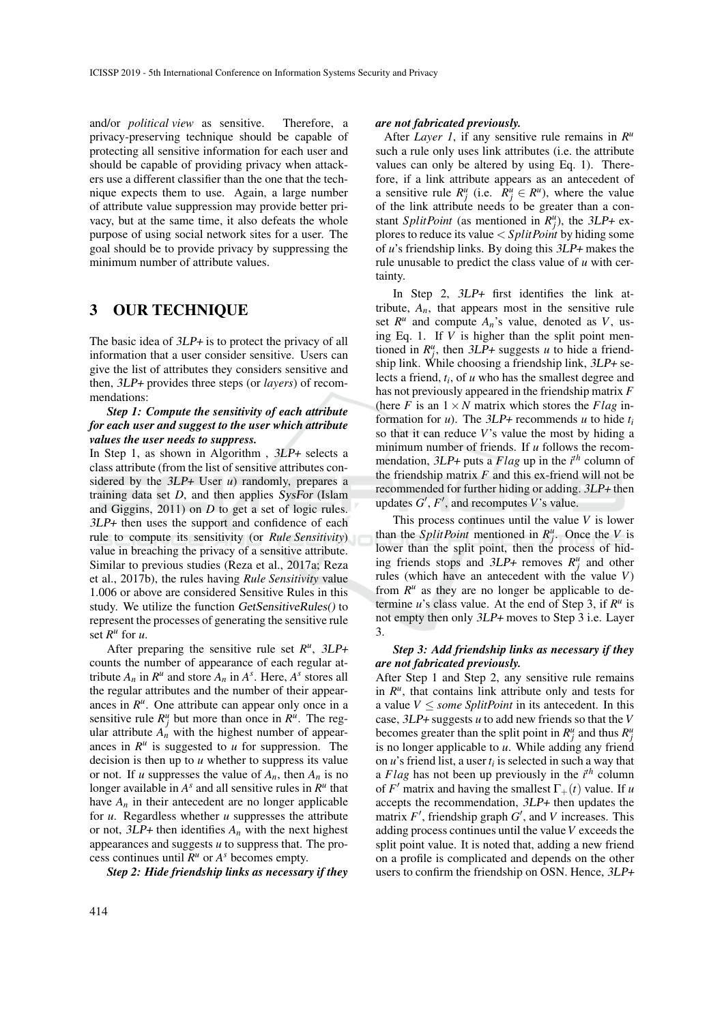and/or *political view* as sensitive. Therefore, a privacy-preserving technique should be capable of protecting all sensitive information for each user and should be capable of providing privacy when attackers use a different classifier than the one that the technique expects them to use. Again, a large number of attribute value suppression may provide better privacy, but at the same time, it also defeats the whole purpose of using social network sites for a user. The goal should be to provide privacy by suppressing the minimum number of attribute values.

### 3 OUR TECHNIQUE

The basic idea of  $3LP+$  is to protect the privacy of all information that a user consider sensitive. Users can give the list of attributes they considers sensitive and then, 3LP+ provides three steps (or *layers*) of recommendations:

### *Step 1: Compute the sensitivity of each attribute for each user and suggest to the user which attribute values the user needs to suppress.*

In Step 1, as shown in Algorithm , 3LP+ selects a class attribute (from the list of sensitive attributes considered by the 3LP+ User *u*) randomly, prepares a training data set *D*, and then applies SysFor (Islam and Giggins, 2011) on *D* to get a set of logic rules. 3LP+ then uses the support and confidence of each rule to compute its sensitivity (or *Rule Sensitivity*) value in breaching the privacy of a sensitive attribute. Similar to previous studies (Reza et al., 2017a; Reza et al., 2017b), the rules having *Rule Sensitivity* value 1.006 or above are considered Sensitive Rules in this study. We utilize the function GetSensitiveRules() to represent the processes of generating the sensitive rule set  $R^u$  for  $u$ .

After preparing the sensitive rule set  $R^u$ ,  $3LP +$ counts the number of appearance of each regular attribute  $A_n$  in  $R^u$  and store  $A_n$  in  $A^s$ . Here,  $A^s$  stores all the regular attributes and the number of their appearances in  $R^u$ . One attribute can appear only once in a sensitive rule  $R_j^u$  but more than once in  $R^u$ . The regular attribute  $A_n$  with the highest number of appearances in  $R^u$  is suggested to  $u$  for suppression. The decision is then up to *u* whether to suppress its value or not. If *u* suppresses the value of  $A_n$ , then  $A_n$  is no longer available in  $A^s$  and all sensitive rules in  $R^u$  that have  $A_n$  in their antecedent are no longer applicable for *u*. Regardless whether *u* suppresses the attribute or not,  $3LP+$  then identifies  $A_n$  with the next highest appearances and suggests *u* to suppress that. The process continues until  $R^u$  or  $A^s$  becomes empty.

*Step 2: Hide friendship links as necessary if they*

After *Layer 1*, if any sensitive rule remains in  $R^u$ such a rule only uses link attributes (i.e. the attribute values can only be altered by using Eq. 1). Therefore, if a link attribute appears as an antecedent of a sensitive rule  $R_j^u$  (i.e.  $R_j^u \in R^u$ ), where the value of the link attribute needs to be greater than a constant *SplitPoint* (as mentioned in  $R_j^u$ ), the 3LP+ explores to reduce its value < *SplitPoint* by hiding some of *u*'s friendship links. By doing this 3LP+ makes the rule unusable to predict the class value of *u* with certainty.

In Step 2, 3LP+ first identifies the link attribute,  $A_n$ , that appears most in the sensitive rule set  $R^u$  and compute  $A_n$ 's value, denoted as  $V$ , using Eq. 1. If *V* is higher than the split point mentioned in  $R_j^u$ , then 3LP+ suggests *u* to hide a friendship link. While choosing a friendship link,  $3LP+$  selects a friend, *t<sup>i</sup>* , of *u* who has the smallest degree and has not previously appeared in the friendship matrix *F* (here *F* is an  $1 \times N$  matrix which stores the *Flag* information for *u*). The  $3LP+$  recommends *u* to hide  $t_i$ so that it can reduce *V*'s value the most by hiding a minimum number of friends. If *u* follows the recommendation, 3LP+ puts a *Flag* up in the *i th* column of the friendship matrix  $F$  and this ex-friend will not be recommended for further hiding or adding. 3LP+ then updates  $G'$ ,  $F'$ , and recomputes  $V$ 's value.

This process continues until the value *V* is lower than the *SplitPoint* mentioned in  $R_j^u$ . Once the *V* is lower than the split point, then the process of hiding friends stops and  $3LP+$  removes  $R_j^u$  and other rules (which have an antecedent with the value *V*) from  $R^u$  as they are no longer be applicable to determine  $u$ 's class value. At the end of Step 3, if  $R^u$  is not empty then only 3LP+ moves to Step 3 i.e. Layer 3.

### *Step 3: Add friendship links as necessary if they are not fabricated previously.*

After Step 1 and Step 2, any sensitive rule remains in  $R^u$ , that contains link attribute only and tests for a value  $V \leq$  *some SplitPoint* in its antecedent. In this case, 3LP+ suggests *u* to add new friends so that the *V* becomes greater than the split point in  $R_j^u$  and thus  $R_j^u$ is no longer applicable to *u*. While adding any friend on  $u$ 's friend list, a user  $t_i$  is selected in such a way that a *Flag* has not been up previously in the *i th* column of *F'* matrix and having the smallest  $\Gamma_+(t)$  value. If *u* accepts the recommendation, 3LP+ then updates the matrix  $F'$ , friendship graph  $G'$ , and  $V$  increases. This adding process continues until the value*V* exceeds the split point value. It is noted that, adding a new friend on a profile is complicated and depends on the other users to confirm the friendship on OSN. Hence, 3LP+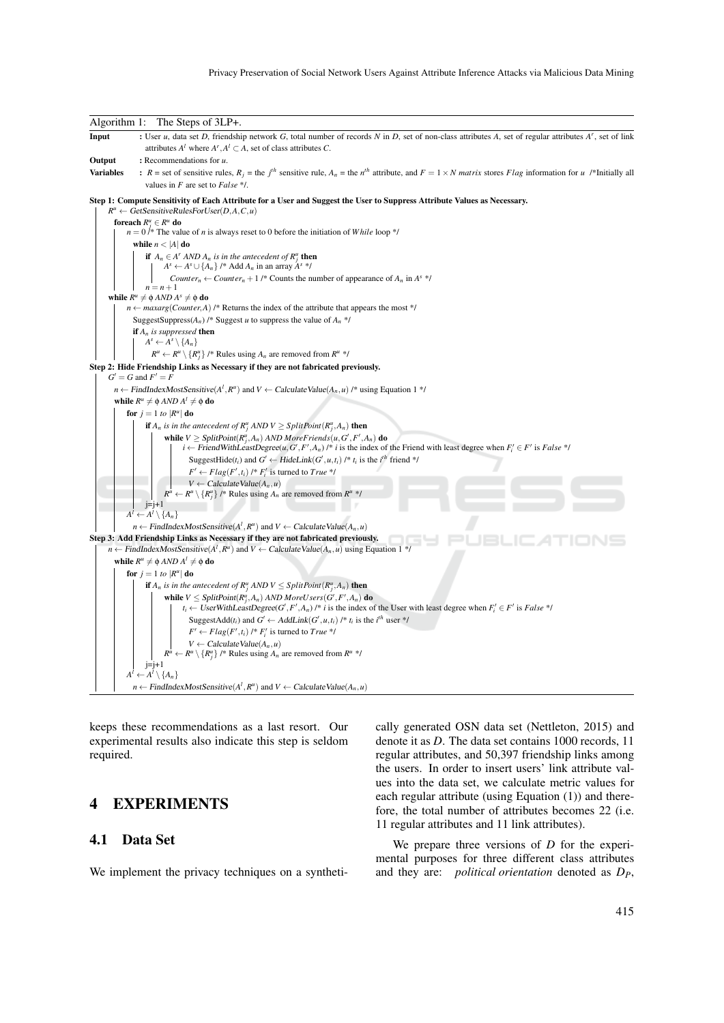#### Privacy Preservation of Social Network Users Against Attribute Inference Attacks via Malicious Data Mining



keeps these recommendations as a last resort. Our experimental results also indicate this step is seldom required.

## 4 EXPERIMENTS

### 4.1 Data Set

We implement the privacy techniques on a syntheti-

cally generated OSN data set (Nettleton, 2015) and denote it as *D*. The data set contains 1000 records, 11 regular attributes, and 50,397 friendship links among the users. In order to insert users' link attribute values into the data set, we calculate metric values for each regular attribute (using Equation (1)) and therefore, the total number of attributes becomes 22 (i.e. 11 regular attributes and 11 link attributes).

We prepare three versions of *D* for the experimental purposes for three different class attributes and they are: *political orientation* denoted as *DP*,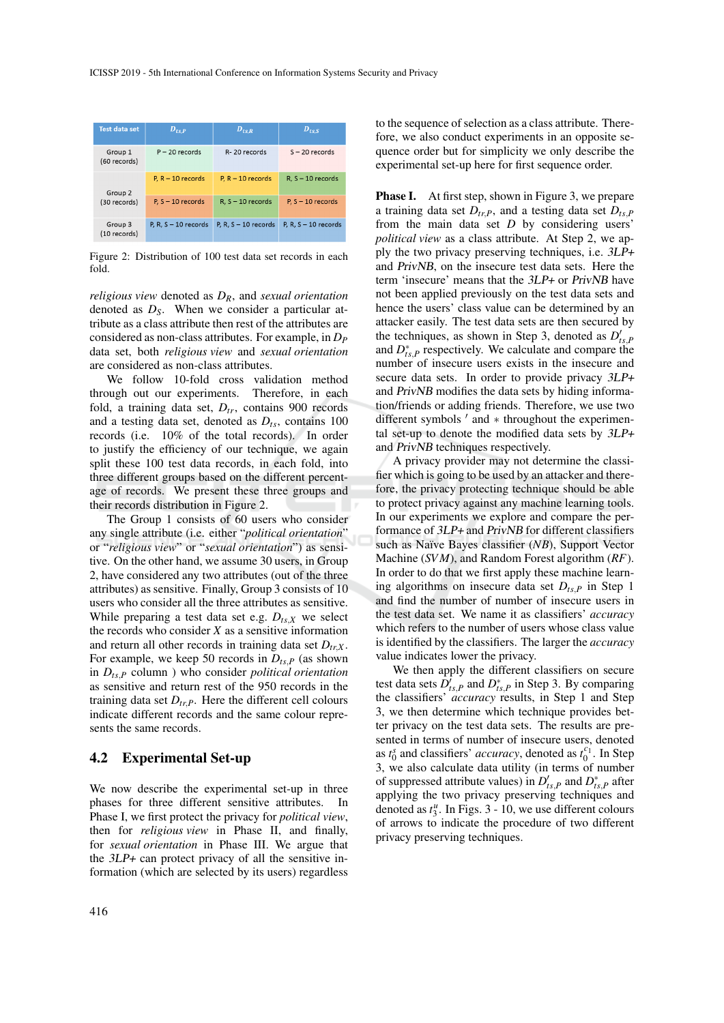| <b>Test data set</b>    | $D_{ts,P}$             | $D_{tsR}$              | $D_{tsS}$              |
|-------------------------|------------------------|------------------------|------------------------|
| Group 1<br>(60 records) | $P - 20$ records       | R-20 records           | $S - 20$ records       |
| Group 2                 | $P.R - 10$ records     | $P. R - 10$ records    | $R, S - 10$ records    |
| (30 records)            | $P, S - 10$ records    | $R, S - 10$ records    | $P, S - 10$ records    |
| Group 3<br>(10 records) | P. R. $S - 10$ records | P, R, $S - 10$ records | P, R, $S - 10$ records |

Figure 2: Distribution of 100 test data set records in each fold.

*religious view* denoted as *DR*, and *sexual orientation* denoted as *DS*. When we consider a particular attribute as a class attribute then rest of the attributes are considered as non-class attributes. For example, in *D<sup>P</sup>* data set, both *religious view* and *sexual orientation* are considered as non-class attributes.

We follow 10-fold cross validation method through out our experiments. Therefore, in each fold, a training data set, *Dtr*, contains 900 records and a testing data set, denoted as *Dts*, contains 100 records (i.e. 10% of the total records). In order to justify the efficiency of our technique, we again split these 100 test data records, in each fold, into three different groups based on the different percentage of records. We present these three groups and their records distribution in Figure 2.

The Group 1 consists of 60 users who consider any single attribute (i.e. either "*political orientation*" or "*religious view*" or "*sexual orientation*") as sensitive. On the other hand, we assume 30 users, in Group 2, have considered any two attributes (out of the three attributes) as sensitive. Finally, Group 3 consists of 10 users who consider all the three attributes as sensitive. While preparing a test data set e.g.  $D_{ts, X}$  we select the records who consider *X* as a sensitive information and return all other records in training data set  $D_{trX}$ . For example, we keep 50 records in  $D_{ts,P}$  (as shown in *Dts*,*<sup>P</sup>* column ) who consider *political orientation* as sensitive and return rest of the 950 records in the training data set  $D_{tr,P}$ . Here the different cell colours indicate different records and the same colour represents the same records.

### 4.2 Experimental Set-up

We now describe the experimental set-up in three phases for three different sensitive attributes. In Phase I, we first protect the privacy for *political view*, then for *religious view* in Phase II, and finally, for *sexual orientation* in Phase III. We argue that the 3LP+ can protect privacy of all the sensitive information (which are selected by its users) regardless

to the sequence of selection as a class attribute. Therefore, we also conduct experiments in an opposite sequence order but for simplicity we only describe the experimental set-up here for first sequence order.

**Phase I.** At first step, shown in Figure 3, we prepare a training data set  $D_{tr}$ , and a testing data set  $D_{ts}$ from the main data set *D* by considering users' *political view* as a class attribute. At Step 2, we apply the two privacy preserving techniques, i.e. 3LP+ and PrivNB, on the insecure test data sets. Here the term 'insecure' means that the 3LP+ or PrivNB have not been applied previously on the test data sets and hence the users' class value can be determined by an attacker easily. The test data sets are then secured by the techniques, as shown in Step 3, denoted as  $D'_{ts,F}$ and  $D_{ts,P}^*$  respectively. We calculate and compare the number of insecure users exists in the insecure and secure data sets. In order to provide privacy 3LP+ and PrivNB modifies the data sets by hiding information/friends or adding friends. Therefore, we use two different symbols ' and \* throughout the experimental set-up to denote the modified data sets by 3LP+ and PrivNB techniques respectively.

A privacy provider may not determine the classifier which is going to be used by an attacker and therefore, the privacy protecting technique should be able to protect privacy against any machine learning tools. In our experiments we explore and compare the performance of 3LP+ and PrivNB for different classifiers such as Naïve Bayes classifier (*NB*), Support Vector Machine (*SVM*), and Random Forest algorithm (*RF*). In order to do that we first apply these machine learning algorithms on insecure data set  $D_{ts,P}$  in Step 1 and find the number of number of insecure users in the test data set. We name it as classifiers' *accuracy* which refers to the number of users whose class value is identified by the classifiers. The larger the *accuracy* value indicates lower the privacy.

We then apply the different classifiers on secure test data sets  $\hat{D}_{ts,P}^{\dagger}$  and  $D_{ts,P}^*$  in Step 3. By comparing the classifiers' *accuracy* results, in Step 1 and Step 3, we then determine which technique provides better privacy on the test data sets. The results are presented in terms of number of insecure users, denoted as  $t_0^s$  and classifiers' *accuracy*, denoted as  $t_0^{c_1}$ . In Step 3, we also calculate data utility (in terms of number of suppressed attribute values) in  $D'_{ts,P}$  and  $D^*_{ts,P}$  after applying the two privacy preserving techniques and denoted as  $t_3^u$ . In Figs. 3 - 10, we use different colours of arrows to indicate the procedure of two different privacy preserving techniques.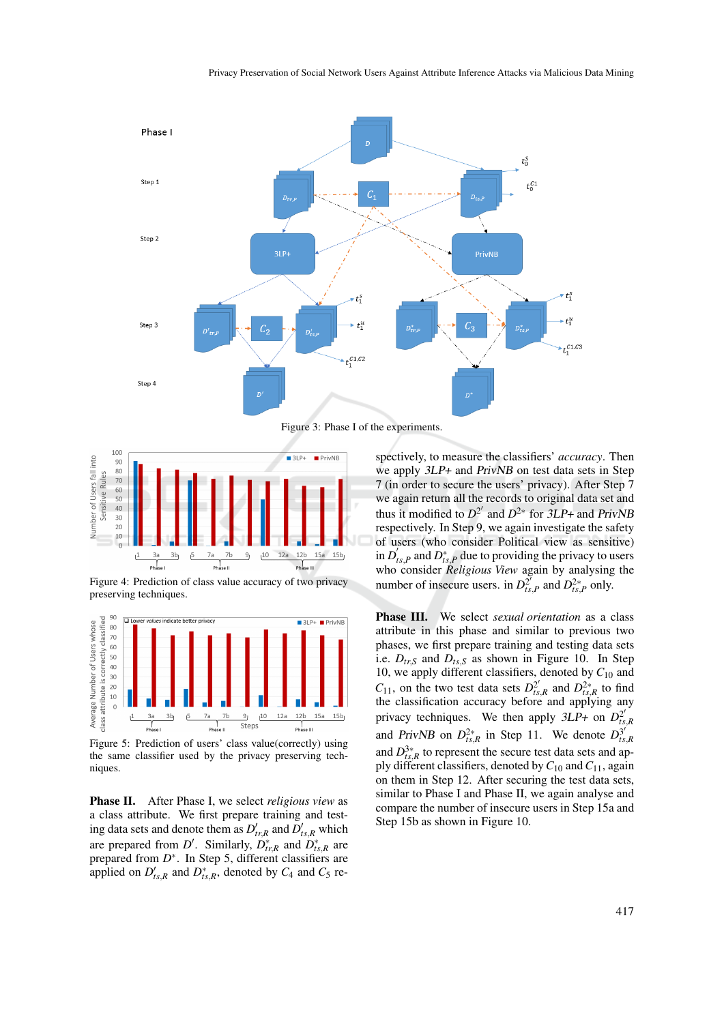

Figure 3: Phase I of the experiments.



Figure 4: Prediction of class value accuracy of two privacy preserving techniques.



Figure 5: Prediction of users' class value(correctly) using the same classifier used by the privacy preserving techniques.

Phase II. After Phase I, we select *religious view* as a class attribute. We first prepare training and testing data sets and denote them as  $D'_{tr,R}$  and  $D'_{ts,R}$  which are prepared from *D'*. Similarly,  $D_{tr,R}^*$  and  $D_{ts,R}^*$  are prepared from  $D^*$ . In Step 5, different classifiers are applied on  $D'_{ts,R}$  and  $D^*_{ts,R}$ , denoted by  $C_4$  and  $C_5$  respectively, to measure the classifiers' *accuracy*. Then we apply 3LP+ and PrivNB on test data sets in Step 7 (in order to secure the users' privacy). After Step 7 we again return all the records to original data set and thus it modified to  $D^2$ <sup>'</sup> and  $D^{2*}$  for  $3LP+$  and PrivNB respectively. In Step 9, we again investigate the safety of users (who consider Political view as sensitive) in  $D_1'$  $t'_{ts,P}$  and  $D^*_{ts,P}$  due to providing the privacy to users who consider *Religious View* again by analysing the number of insecure users. in  $D_t^2$  $D_{ts,P}^{2*}$  and  $D_{ts,P}^{2*}$  only.

Phase III. We select *sexual orientation* as a class attribute in this phase and similar to previous two phases, we first prepare training and testing data sets i.e.  $D_{tr,S}$  and  $D_{ts,S}$  as shown in Figure 10. In Step 10, we apply different classifiers, denoted by *C*<sup>10</sup> and  $C_{11}$ , on the two test data sets  $D_{ts}^{2'}$  $D_{ts,R}^{2*}$  and  $D_{ts,R}^{2*}$  to find the classification accuracy before and applying any privacy techniques. We then apply  $3LP+$  on  $D_{ts}^{2}$ *ts*,*R* and *PrivNB* on  $D_{ts,R}^{2*}$  in Step 11. We denote  $D_{ts}^{3*}$ *ts*,*R* and  $D_{ts,R}^{3*}$  to represent the secure test data sets and apply different classifiers, denoted by*C*<sup>10</sup> and*C*11, again on them in Step 12. After securing the test data sets, similar to Phase I and Phase II, we again analyse and compare the number of insecure users in Step 15a and Step 15b as shown in Figure 10.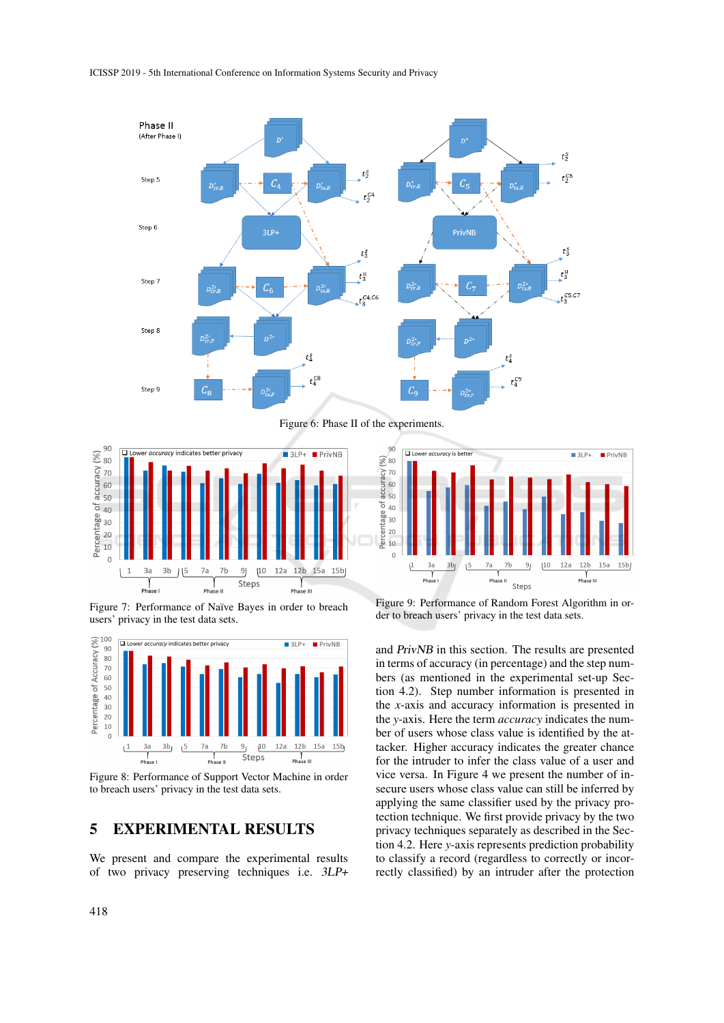#### ICISSP 2019 - 5th International Conference on Information Systems Security and Privacy



Figure 6: Phase II of the experiments.



Figure 7: Performance of Naïve Bayes in order to breach users' privacy in the test data sets.



Figure 8: Performance of Support Vector Machine in order to breach users' privacy in the test data sets.

### 5 EXPERIMENTAL RESULTS

We present and compare the experimental results of two privacy preserving techniques i.e. 3LP+



Figure 9: Performance of Random Forest Algorithm in order to breach users' privacy in the test data sets.

and PrivNB in this section. The results are presented in terms of accuracy (in percentage) and the step numbers (as mentioned in the experimental set-up Section 4.2). Step number information is presented in the *x*-axis and accuracy information is presented in the *y*-axis. Here the term *accuracy* indicates the number of users whose class value is identified by the attacker. Higher accuracy indicates the greater chance for the intruder to infer the class value of a user and vice versa. In Figure 4 we present the number of insecure users whose class value can still be inferred by applying the same classifier used by the privacy protection technique. We first provide privacy by the two privacy techniques separately as described in the Section 4.2. Here *y*-axis represents prediction probability to classify a record (regardless to correctly or incorrectly classified) by an intruder after the protection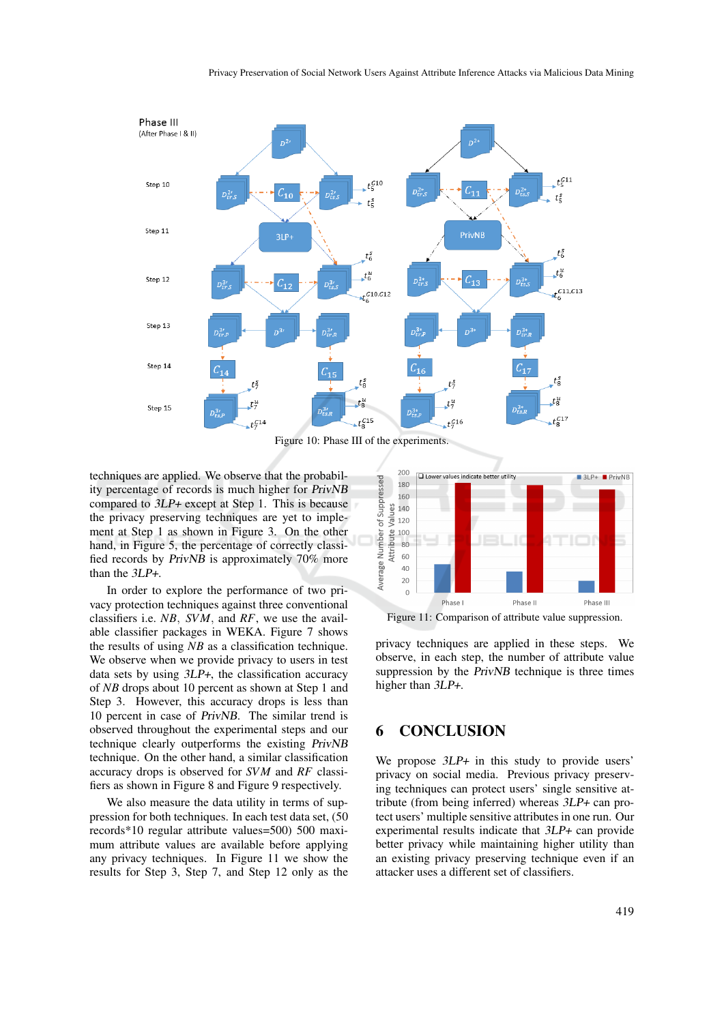

Figure 10: Phase III of the experiments.

techniques are applied. We observe that the probability percentage of records is much higher for PrivNB compared to 3LP+ except at Step 1. This is because the privacy preserving techniques are yet to implement at Step 1 as shown in Figure 3. On the other hand, in Figure 5, the percentage of correctly classified records by PrivNB is approximately 70% more than the 3LP+.

In order to explore the performance of two privacy protection techniques against three conventional classifiers i.e. *NB*, *SVM*, and *RF*, we use the available classifier packages in WEKA. Figure 7 shows the results of using *NB* as a classification technique. We observe when we provide privacy to users in test data sets by using 3LP+, the classification accuracy of *NB* drops about 10 percent as shown at Step 1 and Step 3. However, this accuracy drops is less than 10 percent in case of PrivNB. The similar trend is observed throughout the experimental steps and our technique clearly outperforms the existing PrivNB technique. On the other hand, a similar classification accuracy drops is observed for *SVM* and *RF* classifiers as shown in Figure 8 and Figure 9 respectively.

We also measure the data utility in terms of suppression for both techniques. In each test data set, (50 records\*10 regular attribute values=500) 500 maximum attribute values are available before applying any privacy techniques. In Figure 11 we show the results for Step 3, Step 7, and Step 12 only as the



Figure 11: Comparison of attribute value suppression.

privacy techniques are applied in these steps. We observe, in each step, the number of attribute value suppression by the *PrivNB* technique is three times higher than 3LP+.

### 6 CONCLUSION

We propose  $3LP+$  in this study to provide users' privacy on social media. Previous privacy preserving techniques can protect users' single sensitive attribute (from being inferred) whereas 3LP+ can protect users' multiple sensitive attributes in one run. Our experimental results indicate that 3LP+ can provide better privacy while maintaining higher utility than an existing privacy preserving technique even if an attacker uses a different set of classifiers.